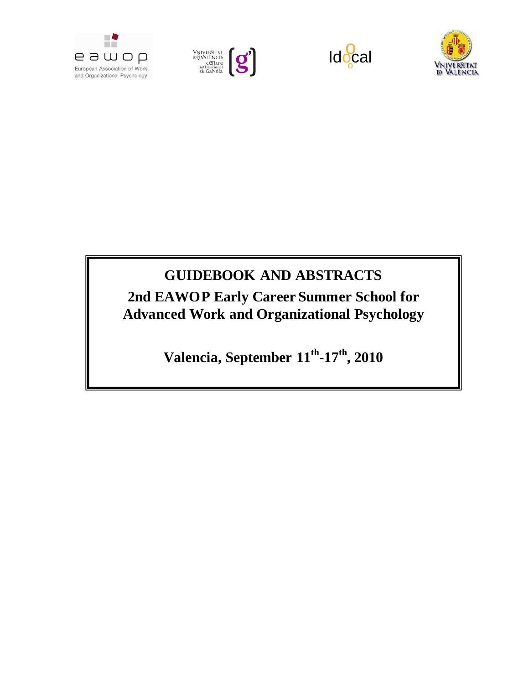







# **GUIDEBOOK AND ABSTRACTS**

**2nd EAWOP Early Career Summer School for Advanced Work and Organizational Psychology**

**Valencia, September 11th-17th, 2010**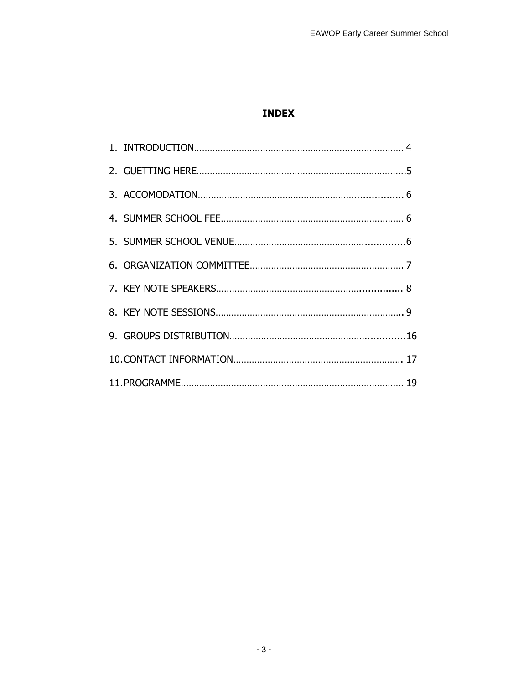# **INDEX**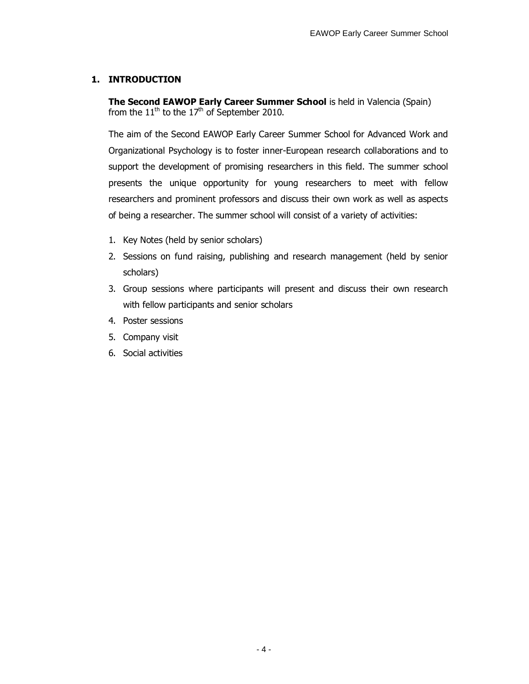### **1. INTRODUCTION**

**The Second EAWOP Early Career Summer School** is held in Valencia (Spain) from the  $11<sup>th</sup>$  to the  $17<sup>th</sup>$  of September 2010.

The aim of the Second EAWOP Early Career Summer School for Advanced Work and Organizational Psychology is to foster inner-European research collaborations and to support the development of promising researchers in this field. The summer school presents the unique opportunity for young researchers to meet with fellow researchers and prominent professors and discuss their own work as well as aspects of being a researcher. The summer school will consist of a variety of activities:

- 1. Key Notes (held by senior scholars)
- 2. Sessions on fund raising, publishing and research management (held by senior scholars)
- 3. Group sessions where participants will present and discuss their own research with fellow participants and senior scholars
- 4. Poster sessions
- 5. Company visit
- 6. Social activities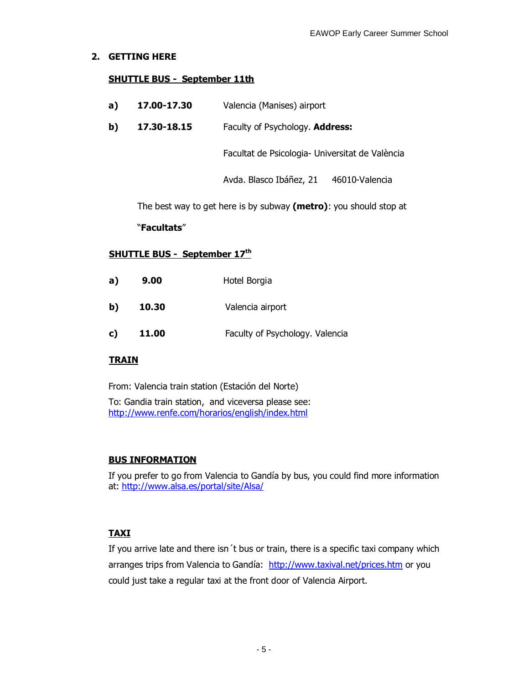### **2. GETTING HERE**

### **SHUTTLE BUS - September 11th**

- **a) 17.00-17.30** Valencia (Manises) airport
- **b) 17.30-18.15** Faculty of Psychology. **Address:**

Facultat de Psicologia- Universitat de València

Avda. Blasco Ibáñez, 21 46010-Valencia

The best way to get here is by subway **(metro)**: you should stop at

#### "**Facultats**"

### **SHUTTLE BUS - September 17th**

| a) | 9.00  | Hotel Borgia                    |
|----|-------|---------------------------------|
| b) | 10.30 | Valencia airport                |
| c) | 11.00 | Faculty of Psychology. Valencia |

#### **TRAIN**

From: Valencia train station (Estación del Norte)

To: Gandia train station, and viceversa please see: http://www.renfe.com/horarios/english/index.html

### **BUS INFORMATION**

If you prefer to go from Valencia to Gandía by bus, you could find more information at: http://www.alsa.es/portal/site/Alsa/

### **TAXI**

If you arrive late and there isn´t bus or train, there is a specific taxi company which arranges trips from Valencia to Gandía: http://www.taxival.net/prices.htm or you could just take a regular taxi at the front door of Valencia Airport.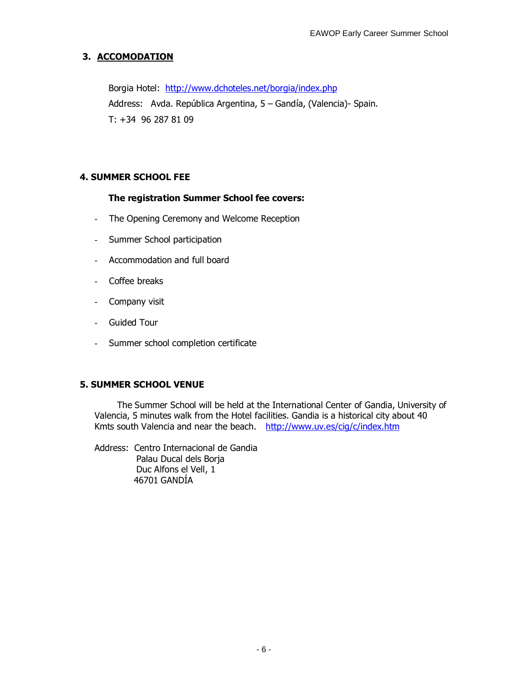# **3. ACCOMODATION**

Borgia Hotel: http://www.dchoteles.net/borgia/index.php Address: Avda. República Argentina, 5 – Gandía, (Valencia)- Spain. T: +34 96 287 81 09

### **4. SUMMER SCHOOL FEE**

### **The registration Summer School fee covers:**

- The Opening Ceremony and Welcome Reception
- Summer School participation
- Accommodation and full board
- Coffee breaks
- Company visit
- Guided Tour
- Summer school completion certificate

### **5. SUMMER SCHOOL VENUE**

The Summer School will be held at the International Center of Gandia, University of Valencia, 5 minutes walk from the Hotel facilities. Gandia is a historical city about 40 Kmts south Valencia and near the beach. http://www.uv.es/cig/c/index.htm

Address: Centro Internacional de Gandia Palau Ducal dels Borja Duc Alfons el Vell, 1 46701 GANDÍA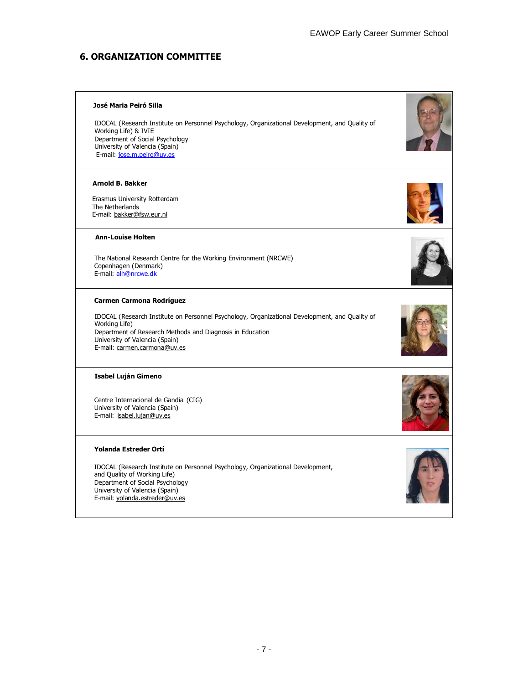### **6. ORGANIZATION COMMITTEE**

#### **José Maria Peiró Silla**

IDOCAL (Research Institute on Personnel Psychology, Organizational Development, and Quality of Working Life) & IVIE Department of Social Psychology University of Valencia (Spain) E-mail: jose.m.peiro@uv.es

#### **Arnold B. Bakker**

 Erasmus University Rotterdam The Netherlands E-mail: bakker@fsw.eur.nl

#### **Ann-Louise Holten**

The National Research Centre for the Working Environment (NRCWE) Copenhagen (Denmark) E-mail: alh@nrcwe.dk

#### **Carmen Carmona Rodríguez**

IDOCAL (Research Institute on Personnel Psychology, Organizational Development, and Quality of Working Life) Department of Research Methods and Diagnosis in Education University of Valencia (Spain) E-mail: carmen.carmona@uv.es

#### **Isabel Luján Gimeno**

Centre Internacional de Gandia (CIG) University of Valencia (Spain) E-mail: isabel.lujan@uv.es

#### **Yolanda Estreder Ortí**

IDOCAL (Research Institute on Personnel Psychology, Organizational Development, and Quality of Working Life) Department of Social Psychology University of Valencia (Spain) E-mail: yolanda.estreder@uv.es









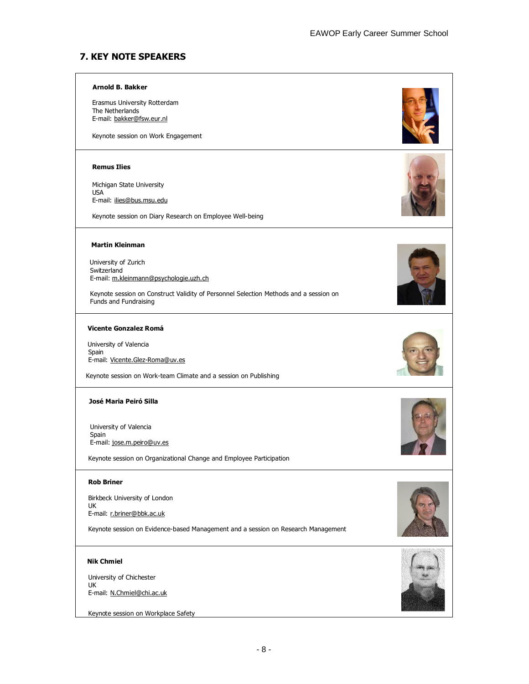### **7. KEY NOTE SPEAKERS**

#### **Arnold B. Bakker**

 Erasmus University Rotterdam The Netherlands E-mail: bakker@fsw.eur.nl

Keynote session on Work Engagement

#### **Remus Ilies**

 Michigan State University USA E-mail: ilies@bus.msu.edu

Keynote session on Diary Research on Employee Well-being



 University of Zurich Switzerland E-mail: m.kleinmann@psychologie.uzh.ch

 Keynote session on Construct Validity of Personnel Selection Methods and a session on Funds and Fundraising

#### **Vicente Gonzalez Romá**

University of Valencia Spain E-mail: Vicente.Glez-Roma@uv.es

Keynote session on Work-team Climate and a session on Publishing

#### **José Maria Peiró Silla**

 University of Valencia Spain E-mail: jose.m.peiro@uv.es

Keynote session on Organizational Change and Employee Participation

#### **Rob Briner**

 Birkbeck University of London UK E-mail: r.briner@bbk.ac.uk

Keynote session on Evidence-based Management and a session on Research Management

#### **Nik Chmiel**

 University of Chichester UK E-mail: N.Chmiel@chi.ac.uk

Keynote session on Workplace Safety









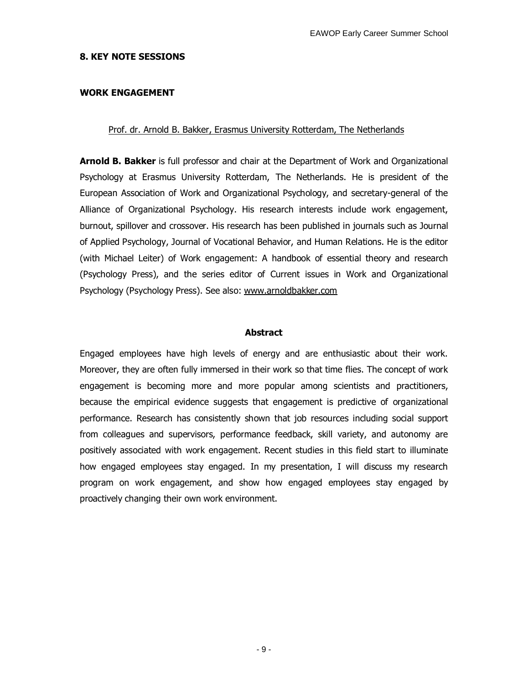#### **8. KEY NOTE SESSIONS**

#### **WORK ENGAGEMENT**

#### Prof. dr. Arnold B. Bakker, Erasmus University Rotterdam, The Netherlands

**Arnold B. Bakker** is full professor and chair at the Department of Work and Organizational Psychology at Erasmus University Rotterdam, The Netherlands. He is president of the European Association of Work and Organizational Psychology, and secretary-general of the Alliance of Organizational Psychology. His research interests include work engagement, burnout, spillover and crossover. His research has been published in journals such as Journal of Applied Psychology, Journal of Vocational Behavior, and Human Relations. He is the editor (with Michael Leiter) of Work engagement: A handbook of essential theory and research (Psychology Press), and the series editor of Current issues in Work and Organizational Psychology (Psychology Press). See also: www.arnoldbakker.com

#### **Abstract**

Engaged employees have high levels of energy and are enthusiastic about their work. Moreover, they are often fully immersed in their work so that time flies. The concept of work engagement is becoming more and more popular among scientists and practitioners, because the empirical evidence suggests that engagement is predictive of organizational performance. Research has consistently shown that job resources including social support from colleagues and supervisors, performance feedback, skill variety, and autonomy are positively associated with work engagement. Recent studies in this field start to illuminate how engaged employees stay engaged. In my presentation, I will discuss my research program on work engagement, and show how engaged employees stay engaged by proactively changing their own work environment.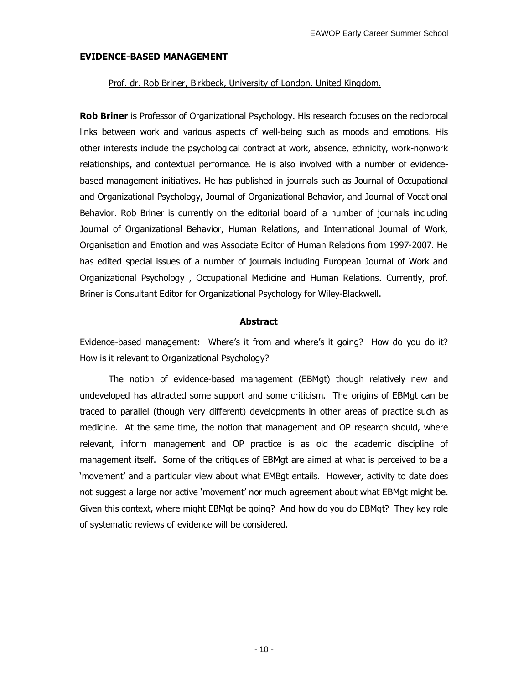### **EVIDENCE-BASED MANAGEMENT**

#### Prof. dr. Rob Briner, Birkbeck, University of London. United Kingdom.

**Rob Briner** is Professor of Organizational Psychology. His research focuses on the reciprocal links between work and various aspects of well-being such as moods and emotions. His other interests include the psychological contract at work, absence, ethnicity, work-nonwork relationships, and contextual performance. He is also involved with a number of evidencebased management initiatives. He has published in journals such as Journal of Occupational and Organizational Psychology, Journal of Organizational Behavior, and Journal of Vocational Behavior. Rob Briner is currently on the editorial board of a number of journals including Journal of Organizational Behavior, Human Relations, and International Journal of Work, Organisation and Emotion and was Associate Editor of Human Relations from 1997-2007. He has edited special issues of a number of journals including European Journal of Work and Organizational Psychology , Occupational Medicine and Human Relations. Currently, prof. Briner is Consultant Editor for Organizational Psychology for Wiley-Blackwell.

#### **Abstract**

Evidence-based management: Where's it from and where's it going? How do you do it? How is it relevant to Organizational Psychology?

The notion of evidence-based management (EBMgt) though relatively new and undeveloped has attracted some support and some criticism. The origins of EBMgt can be traced to parallel (though very different) developments in other areas of practice such as medicine. At the same time, the notion that management and OP research should, where relevant, inform management and OP practice is as old the academic discipline of management itself. Some of the critiques of EBMgt are aimed at what is perceived to be a 'movement' and a particular view about what EMBgt entails. However, activity to date does not suggest a large nor active 'movement' nor much agreement about what EBMgt might be. Given this context, where might EBMgt be going? And how do you do EBMgt? They key role of systematic reviews of evidence will be considered.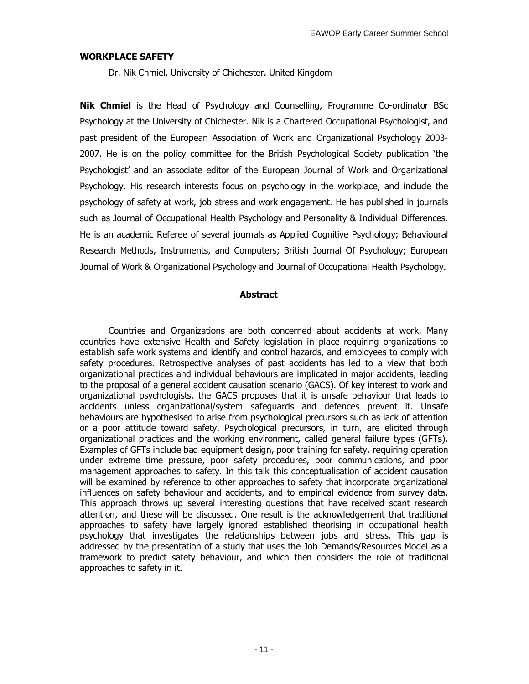#### **WORKPLACE SAFETY**

#### Dr. Nik Chmiel, University of Chichester. United Kingdom

**Nik Chmiel** is the Head of Psychology and Counselling, Programme Co-ordinator BSc Psychology at the University of Chichester. Nik is a Chartered Occupational Psychologist, and past president of the European Association of Work and Organizational Psychology 2003- 2007. He is on the policy committee for the British Psychological Society publication 'the Psychologist' and an associate editor of the European Journal of Work and Organizational Psychology. His research interests focus on psychology in the workplace, and include the psychology of safety at work, job stress and work engagement. He has published in journals such as Journal of Occupational Health Psychology and Personality & Individual Differences. He is an academic Referee of several journals as Applied Cognitive Psychology; Behavioural Research Methods, Instruments, and Computers; British Journal Of Psychology; European Journal of Work & Organizational Psychology and Journal of Occupational Health Psychology.

### **Abstract**

Countries and Organizations are both concerned about accidents at work. Many countries have extensive Health and Safety legislation in place requiring organizations to establish safe work systems and identify and control hazards, and employees to comply with safety procedures. Retrospective analyses of past accidents has led to a view that both organizational practices and individual behaviours are implicated in major accidents, leading to the proposal of a general accident causation scenario (GACS). Of key interest to work and organizational psychologists, the GACS proposes that it is unsafe behaviour that leads to accidents unless organizational/system safeguards and defences prevent it. Unsafe behaviours are hypothesised to arise from psychological precursors such as lack of attention or a poor attitude toward safety. Psychological precursors, in turn, are elicited through organizational practices and the working environment, called general failure types (GFTs). Examples of GFTs include bad equipment design, poor training for safety, requiring operation under extreme time pressure, poor safety procedures, poor communications, and poor management approaches to safety. In this talk this conceptualisation of accident causation will be examined by reference to other approaches to safety that incorporate organizational influences on safety behaviour and accidents, and to empirical evidence from survey data. This approach throws up several interesting questions that have received scant research attention, and these will be discussed. One result is the acknowledgement that traditional approaches to safety have largely ignored established theorising in occupational health psychology that investigates the relationships between jobs and stress. This gap is addressed by the presentation of a study that uses the Job Demands/Resources Model as a framework to predict safety behaviour, and which then considers the role of traditional approaches to safety in it.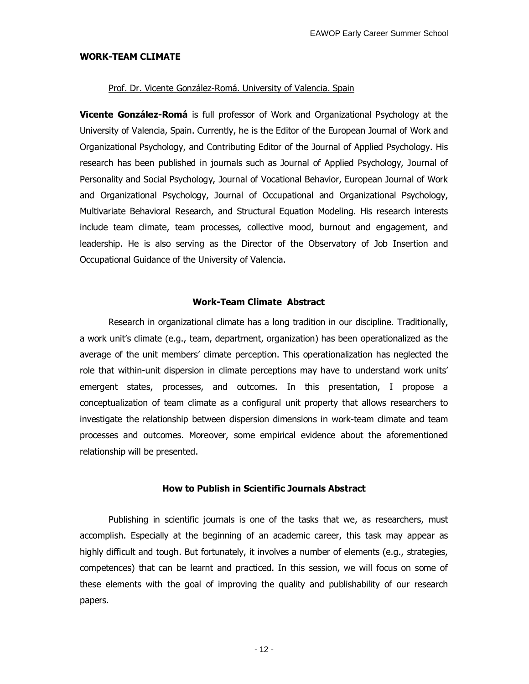#### **WORK-TEAM CLIMATE**

#### Prof. Dr. Vicente González-Romá. University of Valencia. Spain

**Vicente González-Romá** is full professor of Work and Organizational Psychology at the University of Valencia, Spain. Currently, he is the Editor of the European Journal of Work and Organizational Psychology, and Contributing Editor of the Journal of Applied Psychology. His research has been published in journals such as Journal of Applied Psychology, Journal of Personality and Social Psychology, Journal of Vocational Behavior, European Journal of Work and Organizational Psychology, Journal of Occupational and Organizational Psychology, Multivariate Behavioral Research, and Structural Equation Modeling. His research interests include team climate, team processes, collective mood, burnout and engagement, and leadership. He is also serving as the Director of the Observatory of Job Insertion and Occupational Guidance of the University of Valencia.

#### **Work-Team Climate Abstract**

Research in organizational climate has a long tradition in our discipline. Traditionally, a work unit's climate (e.g., team, department, organization) has been operationalized as the average of the unit members' climate perception. This operationalization has neglected the role that within-unit dispersion in climate perceptions may have to understand work units' emergent states, processes, and outcomes. In this presentation, I propose a conceptualization of team climate as a configural unit property that allows researchers to investigate the relationship between dispersion dimensions in work-team climate and team processes and outcomes. Moreover, some empirical evidence about the aforementioned relationship will be presented.

#### **How to Publish in Scientific Journals Abstract**

Publishing in scientific journals is one of the tasks that we, as researchers, must accomplish. Especially at the beginning of an academic career, this task may appear as highly difficult and tough. But fortunately, it involves a number of elements (e.g., strategies, competences) that can be learnt and practiced. In this session, we will focus on some of these elements with the goal of improving the quality and publishability of our research papers.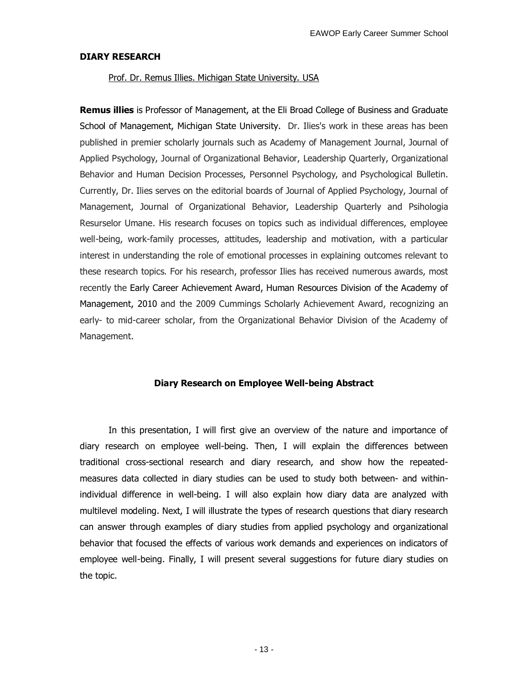#### **DIARY RESEARCH**

#### Prof. Dr. Remus Illies. Michigan State University. USA

**Remus illies** is Professor of Management, at the Eli Broad College of Business and Graduate School of Management, Michigan State University. Dr. Ilies's work in these areas has been published in premier scholarly journals such as Academy of Management Journal, Journal of Applied Psychology, Journal of Organizational Behavior, Leadership Quarterly, Organizational Behavior and Human Decision Processes, Personnel Psychology, and Psychological Bulletin. Currently, Dr. Ilies serves on the editorial boards of Journal of Applied Psychology, Journal of Management, Journal of Organizational Behavior, Leadership Quarterly and Psihologia Resurselor Umane. His research focuses on topics such as individual differences, employee well-being, work-family processes, attitudes, leadership and motivation, with a particular interest in understanding the role of emotional processes in explaining outcomes relevant to these research topics. For his research, professor Ilies has received numerous awards, most recently the Early Career Achievement Award, Human Resources Division of the Academy of Management, 2010 and the 2009 Cummings Scholarly Achievement Award, recognizing an early- to mid-career scholar, from the Organizational Behavior Division of the Academy of Management.

#### **Diary Research on Employee Well-being Abstract**

In this presentation, I will first give an overview of the nature and importance of diary research on employee well-being. Then, I will explain the differences between traditional cross-sectional research and diary research, and show how the repeatedmeasures data collected in diary studies can be used to study both between- and withinindividual difference in well-being. I will also explain how diary data are analyzed with multilevel modeling. Next, I will illustrate the types of research questions that diary research can answer through examples of diary studies from applied psychology and organizational behavior that focused the effects of various work demands and experiences on indicators of employee well-being. Finally, I will present several suggestions for future diary studies on the topic.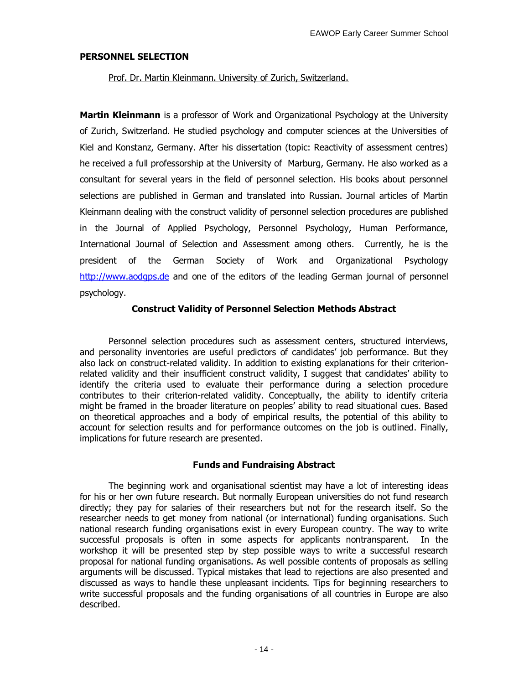### **PERSONNEL SELECTION**

Prof. Dr. Martin Kleinmann. University of Zurich, Switzerland.

**Martin Kleinmann** is a professor of Work and Organizational Psychology at the University of Zurich, Switzerland. He studied psychology and computer sciences at the Universities of Kiel and Konstanz, Germany. After his dissertation (topic: Reactivity of assessment centres) he received a full professorship at the University of Marburg, Germany. He also worked as a consultant for several years in the field of personnel selection. His books about personnel selections are published in German and translated into Russian. Journal articles of Martin Kleinmann dealing with the construct validity of personnel selection procedures are published in the Journal of Applied Psychology, Personnel Psychology, Human Performance, International Journal of Selection and Assessment among others. Currently, he is the president of the German Society of Work and Organizational Psychology http://www.aodgps.de and one of the editors of the leading German journal of personnel psychology.

### **Construct Validity of Personnel Selection Methods Abstract**

Personnel selection procedures such as assessment centers, structured interviews, and personality inventories are useful predictors of candidates' job performance. But they also lack on construct-related validity. In addition to existing explanations for their criterionrelated validity and their insufficient construct validity, I suggest that candidates' ability to identify the criteria used to evaluate their performance during a selection procedure contributes to their criterion-related validity. Conceptually, the ability to identify criteria might be framed in the broader literature on peoples' ability to read situational cues. Based on theoretical approaches and a body of empirical results, the potential of this ability to account for selection results and for performance outcomes on the job is outlined. Finally, implications for future research are presented.

### **Funds and Fundraising Abstract**

The beginning work and organisational scientist may have a lot of interesting ideas for his or her own future research. But normally European universities do not fund research directly; they pay for salaries of their researchers but not for the research itself. So the researcher needs to get money from national (or international) funding organisations. Such national research funding organisations exist in every European country. The way to write successful proposals is often in some aspects for applicants nontransparent. In the workshop it will be presented step by step possible ways to write a successful research proposal for national funding organisations. As well possible contents of proposals as selling arguments will be discussed. Typical mistakes that lead to rejections are also presented and discussed as ways to handle these unpleasant incidents. Tips for beginning researchers to write successful proposals and the funding organisations of all countries in Europe are also described.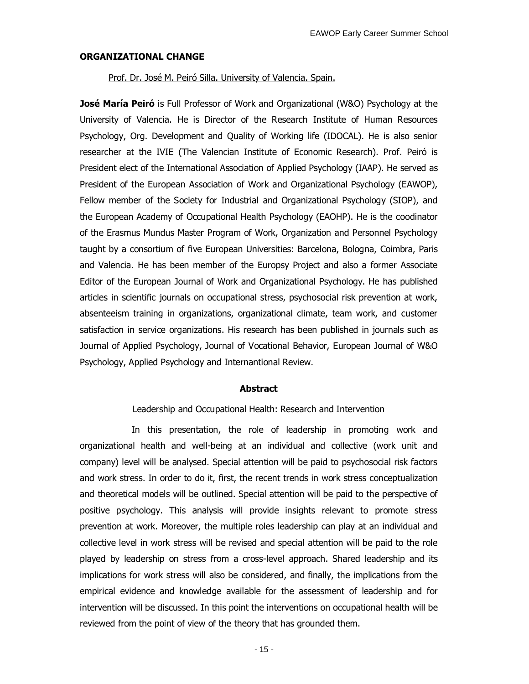#### **ORGANIZATIONAL CHANGE**

Prof. Dr. José M. Peiró Silla. University of Valencia. Spain.

**José María Peiró** is Full Professor of Work and Organizational (W&O) Psychology at the University of Valencia. He is Director of the Research Institute of Human Resources Psychology, Org. Development and Quality of Working life (IDOCAL). He is also senior researcher at the IVIE (The Valencian Institute of Economic Research). Prof. Peiró is President elect of the International Association of Applied Psychology (IAAP). He served as President of the European Association of Work and Organizational Psychology (EAWOP), Fellow member of the Society for Industrial and Organizational Psychology (SIOP), and the European Academy of Occupational Health Psychology (EAOHP). He is the coodinator of the Erasmus Mundus Master Program of Work, Organization and Personnel Psychology taught by a consortium of five European Universities: Barcelona, Bologna, Coimbra, Paris and Valencia. He has been member of the Europsy Project and also a former Associate Editor of the European Journal of Work and Organizational Psychology. He has published articles in scientific journals on occupational stress, psychosocial risk prevention at work, absenteeism training in organizations, organizational climate, team work, and customer satisfaction in service organizations. His research has been published in journals such as Journal of Applied Psychology, Journal of Vocational Behavior, European Journal of W&O Psychology, Applied Psychology and Internantional Review.

#### **Abstract**

Leadership and Occupational Health: Research and Intervention

In this presentation, the role of leadership in promoting work and organizational health and well-being at an individual and collective (work unit and company) level will be analysed. Special attention will be paid to psychosocial risk factors and work stress. In order to do it, first, the recent trends in work stress conceptualization and theoretical models will be outlined. Special attention will be paid to the perspective of positive psychology. This analysis will provide insights relevant to promote stress prevention at work. Moreover, the multiple roles leadership can play at an individual and collective level in work stress will be revised and special attention will be paid to the role played by leadership on stress from a cross-level approach. Shared leadership and its implications for work stress will also be considered, and finally, the implications from the empirical evidence and knowledge available for the assessment of leadership and for intervention will be discussed. In this point the interventions on occupational health will be reviewed from the point of view of the theory that has grounded them.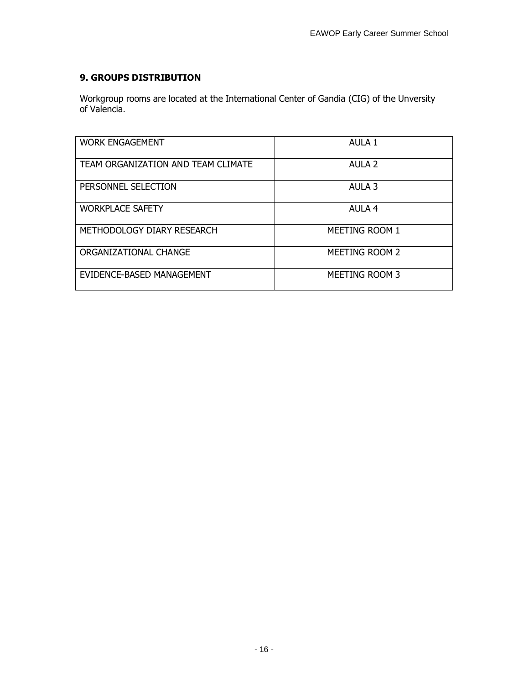# **9. GROUPS DISTRIBUTION**

Workgroup rooms are located at the International Center of Gandia (CIG) of the Unversity of Valencia.

| <b>WORK ENGAGEMENT</b>             | AULA 1                |
|------------------------------------|-----------------------|
| TEAM ORGANIZATION AND TEAM CLIMATE | AULA <sub>2</sub>     |
| PERSONNEL SELECTION                | AULA 3                |
| <b>WORKPLACE SAFETY</b>            | AULA <sub>4</sub>     |
| METHODOLOGY DIARY RESEARCH         | MEETING ROOM 1        |
| ORGANIZATIONAL CHANGE              | <b>MEETING ROOM 2</b> |
| EVIDENCE-BASED MANAGEMENT          | MEETING ROOM 3        |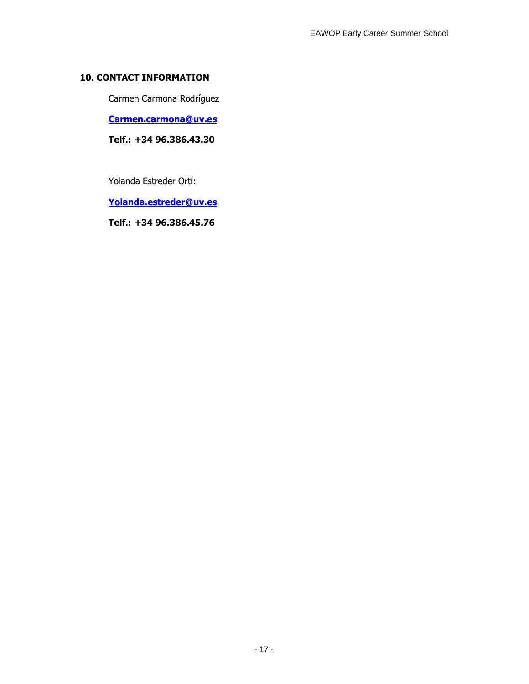## **10. CONTACT INFORMATION**

Carmen Carmona Rodríguez

**Carmen.carmona@uv.es**

**Telf.: +34 96.386.43.30**

Yolanda Estreder Ortí:

**Yolanda.estreder@uv.es**

**Telf.: +34 96.386.45.76**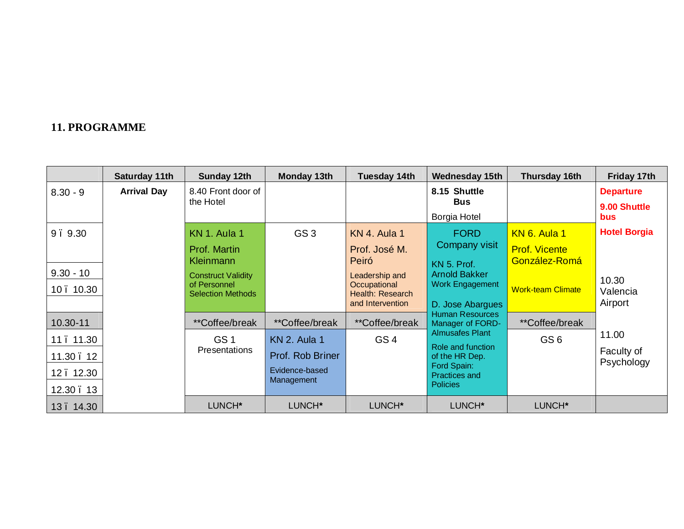# **11. PROGRAMME**

|             | Saturday 11th      | Sunday 12th                              | Monday 13th                  | Tuesday 14th                     | <b>Wednesday 15th</b>                      | Thursday 16th            | Friday 17th                      |
|-------------|--------------------|------------------------------------------|------------------------------|----------------------------------|--------------------------------------------|--------------------------|----------------------------------|
| $8.30 - 9$  | <b>Arrival Day</b> | 8.40 Front door of<br>the Hotel          |                              |                                  | 8.15 Shuttle<br><b>Bus</b>                 |                          | <b>Departure</b><br>9.00 Shuttle |
|             |                    |                                          |                              |                                  | Borgia Hotel                               |                          | <b>bus</b>                       |
| 9.9.30      |                    | KN 1. Aula 1                             | GS <sub>3</sub>              | KN 4. Aula 1                     | <b>FORD</b>                                | KN 6. Aula 1             | <b>Hotel Borgia</b>              |
|             |                    | Prof. Martin                             |                              | Prof. José M.                    | Company visit                              | <b>Prof. Vicente</b>     |                                  |
|             |                    | Kleinmann                                |                              | Peiró                            | KN 5. Prof.                                | González-Romá            |                                  |
| $9.30 - 10$ |                    | <b>Construct Validity</b>                |                              | Leadership and                   | <b>Arnold Bakker</b>                       |                          | 10.30                            |
| 10.10.30    |                    | of Personnel<br><b>Selection Methods</b> |                              | Occupational<br>Health: Research | Work Engagement                            | <b>Work-team Climate</b> | Valencia                         |
|             |                    |                                          |                              | and Intervention                 | D. Jose Abargues                           |                          | Airport                          |
| 10.30-11    |                    | **Coffee/break                           | <i>**</i> Coffee/break       | <i>**</i> Coffee/break           | <b>Human Resources</b><br>Manager of FORD- | <i>**</i> Coffee/break   |                                  |
| 11.11.30    |                    | GS <sub>1</sub>                          | <b>KN 2. Aula 1</b>          | GS <sub>4</sub>                  | <b>Almusafes Plant</b>                     | GS <sub>6</sub>          | 11.00                            |
| 11.30.12    |                    | <b>Presentations</b>                     | Prof. Rob Briner             |                                  | Role and function<br>of the HR Dep.        |                          | Faculty of<br>Psychology         |
| 12.12.30    |                    |                                          | Evidence-based<br>Management |                                  | Ford Spain:<br>Practices and               |                          |                                  |
| 12.30.13    |                    |                                          |                              |                                  | <b>Policies</b>                            |                          |                                  |
| 13.14.30    |                    | LUNCH*                                   | LUNCH*                       | LUNCH*                           | LUNCH*                                     | LUNCH*                   |                                  |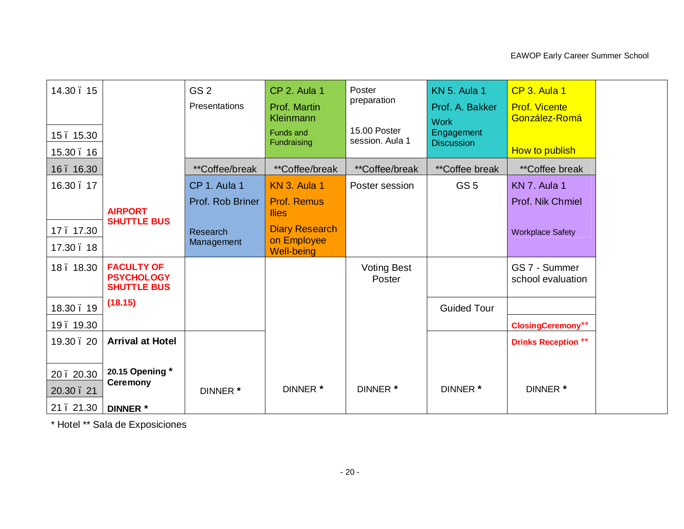| 14.30.15<br>15.15.30<br>15.30.16 |                                                              | GS <sub>2</sub><br>Presentations | CP 2. Aula 1<br>Prof. Martin<br><b>Kleinmann</b><br><b>Funds and</b><br>Fundraising | Poster<br>preparation<br>15.00 Poster<br>session. Aula 1 | <b>KN 5. Aula 1</b><br>Prof. A. Bakker<br><b>Work</b><br>Engagement<br><b>Discussion</b> | CP 3. Aula 1<br><b>Prof. Vicente</b><br>González-Romá<br>How to publish |  |
|----------------------------------|--------------------------------------------------------------|----------------------------------|-------------------------------------------------------------------------------------|----------------------------------------------------------|------------------------------------------------------------------------------------------|-------------------------------------------------------------------------|--|
| 16.16.30                         |                                                              | **Coffee/break                   | **Coffee/break                                                                      | **Coffee/break                                           | **Coffee break                                                                           | <i>**</i> Coffee break                                                  |  |
| 16.30.17                         |                                                              | CP 1. Aula 1                     | <b>KN 3. Aula 1</b>                                                                 | Poster session                                           | GS <sub>5</sub>                                                                          | KN 7. Aula 1                                                            |  |
|                                  | <b>AIRPORT</b><br><b>SHUTTLE BUS</b>                         | Prof. Rob Briner                 | <b>Prof. Remus</b><br><b>Ilies</b>                                                  |                                                          |                                                                                          | Prof. Nik Chmiel                                                        |  |
| 17.17.30                         |                                                              | Research                         | <b>Diary Research</b>                                                               |                                                          |                                                                                          | <b>Workplace Safety</b>                                                 |  |
| 17.30.18                         |                                                              | Management                       | on Employee<br><b>Well-being</b>                                                    |                                                          |                                                                                          |                                                                         |  |
| 18.18.30                         | <b>FACULTY OF</b><br><b>PSYCHOLOGY</b><br><b>SHUTTLE BUS</b> |                                  |                                                                                     | <b>Voting Best</b><br>Poster                             |                                                                                          | GS 7 - Summer<br>school evaluation                                      |  |
| 18.30.19                         | (18.15)                                                      |                                  |                                                                                     |                                                          | <b>Guided Tour</b>                                                                       |                                                                         |  |
| 19.19.30                         |                                                              |                                  |                                                                                     |                                                          |                                                                                          | <b>ClosingCeremony**</b>                                                |  |
| 19.30.20                         | <b>Arrival at Hotel</b>                                      |                                  |                                                                                     |                                                          |                                                                                          | <b>Drinks Reception **</b>                                              |  |
| 20.20.30<br>20.30.21             | 20.15 Opening *<br><b>Ceremony</b>                           | DINNER *                         | DINNER *                                                                            | DINNER *                                                 | DINNER *                                                                                 | DINNER *                                                                |  |
| 21.21.30                         | <b>DINNER</b> *                                              |                                  |                                                                                     |                                                          |                                                                                          |                                                                         |  |

\* Hotel \*\* Sala de Exposiciones